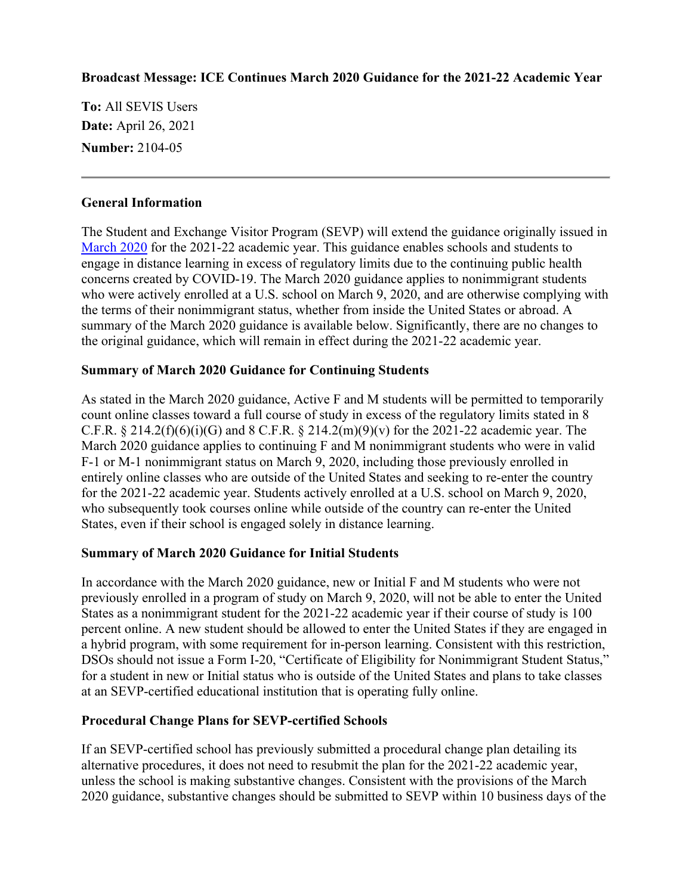### **Broadcast Message: ICE Continues March 2020 Guidance for the 2021-22 Academic Year**

**To:** All SEVIS Users **Date:** April 26, 2021 **Number:** 2104-05

#### **General Information**

The Student and Exchange Visitor Program (SEVP) will extend the guidance originally issued in [March 2020](https://www.ice.gov/doclib/sevis/pdf/bcm2003-01.pdf) for the 2021-22 academic year. This guidance enables schools and students to engage in distance learning in excess of regulatory limits due to the continuing public health concerns created by COVID-19. The March 2020 guidance applies to nonimmigrant students who were actively enrolled at a U.S. school on March 9, 2020, and are otherwise complying with the terms of their nonimmigrant status, whether from inside the United States or abroad. A summary of the March 2020 guidance is available below. Significantly, there are no changes to the original guidance, which will remain in effect during the 2021-22 academic year.

#### **Summary of March 2020 Guidance for Continuing Students**

As stated in the March 2020 guidance, Active F and M students will be permitted to temporarily count online classes toward a full course of study in excess of the regulatory limits stated in 8 C.F.R.  $\S 214.2(f)(6)(i)(G)$  and  $\S C.F.R. \S 214.2(m)(9)(v)$  for the 2021-22 academic year. The March 2020 guidance applies to continuing F and M nonimmigrant students who were in valid F-1 or M-1 nonimmigrant status on March 9, 2020, including those previously enrolled in entirely online classes who are outside of the United States and seeking to re-enter the country for the 2021-22 academic year. Students actively enrolled at a U.S. school on March 9, 2020, who subsequently took courses online while outside of the country can re-enter the United States, even if their school is engaged solely in distance learning.

#### **Summary of March 2020 Guidance for Initial Students**

In accordance with the March 2020 guidance, new or Initial F and M students who were not previously enrolled in a program of study on March 9, 2020, will not be able to enter the United States as a nonimmigrant student for the 2021-22 academic year if their course of study is 100 percent online. A new student should be allowed to enter the United States if they are engaged in a hybrid program, with some requirement for in-person learning. Consistent with this restriction, DSOs should not issue a Form I-20, "Certificate of Eligibility for Nonimmigrant Student Status," for a student in new or Initial status who is outside of the United States and plans to take classes at an SEVP-certified educational institution that is operating fully online.

#### **Procedural Change Plans for SEVP-certified Schools**

If an SEVP-certified school has previously submitted a procedural change plan detailing its alternative procedures, it does not need to resubmit the plan for the 2021-22 academic year, unless the school is making substantive changes. Consistent with the provisions of the March 2020 guidance, substantive changes should be submitted to SEVP within 10 business days of the